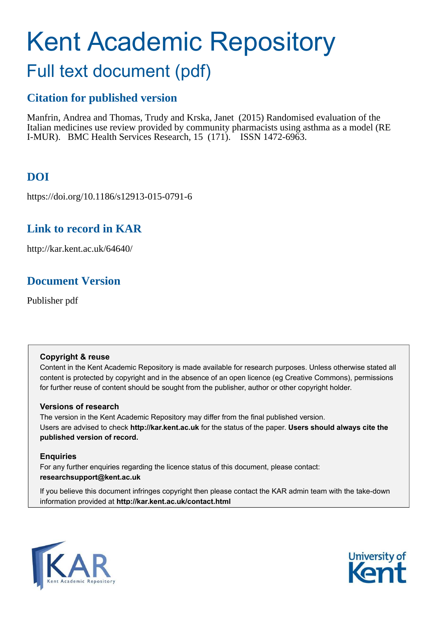# Kent Academic Repository

# Full text document (pdf)

# **Citation for published version**

Manfrin, Andrea and Thomas, Trudy and Krska, Janet (2015) Randomised evaluation of the Italian medicines use review provided by community pharmacists using asthma as a model (RE I-MUR). BMC Health Services Research, 15 (171). ISSN 1472-6963.

# **DOI**

https://doi.org/10.1186/s12913-015-0791-6

# **Link to record in KAR**

http://kar.kent.ac.uk/64640/

# **Document Version**

Publisher pdf

## **Copyright & reuse**

Content in the Kent Academic Repository is made available for research purposes. Unless otherwise stated all content is protected by copyright and in the absence of an open licence (eg Creative Commons), permissions for further reuse of content should be sought from the publisher, author or other copyright holder.

## **Versions of research**

The version in the Kent Academic Repository may differ from the final published version. Users are advised to check **http://kar.kent.ac.uk** for the status of the paper. **Users should always cite the published version of record.**

## **Enquiries**

For any further enquiries regarding the licence status of this document, please contact: **researchsupport@kent.ac.uk**

If you believe this document infringes copyright then please contact the KAR admin team with the take-down information provided at **http://kar.kent.ac.uk/contact.html**



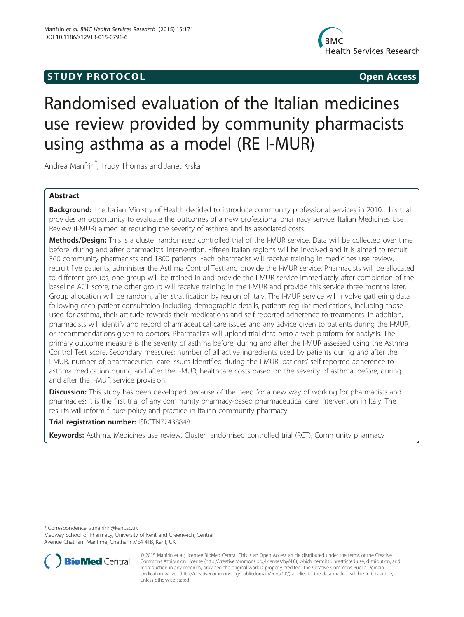## **STUDY PROTOCOL CONSUMING THE STUDY PROTOCOL**



# Randomised evaluation of the Italian medicines use review provided by community pharmacists using asthma as a model (RE I-MUR)

Andrea Manfrin\* , Trudy Thomas and Janet Krska

#### Abstract

Background: The Italian Ministry of Health decided to introduce community professional services in 2010. This trial provides an opportunity to evaluate the outcomes of a new professional pharmacy service: Italian Medicines Use Review (I-MUR) aimed at reducing the severity of asthma and its associated costs.

Methods/Design: This is a cluster randomised controlled trial of the I-MUR service. Data will be collected over time before, during and after pharmacists' intervention. Fifteen Italian regions will be involved and it is aimed to recruit 360 community pharmacists and 1800 patients. Each pharmacist will receive training in medicines use review, recruit five patients, administer the Asthma Control Test and provide the I-MUR service. Pharmacists will be allocated to different groups, one group will be trained in and provide the I-MUR service immediately after completion of the baseline ACT score, the other group will receive training in the I-MUR and provide this service three months later. Group allocation will be random, after stratification by region of Italy. The I-MUR service will involve gathering data following each patient consultation including demographic details, patients regular medications, including those used for asthma, their attitude towards their medications and self-reported adherence to treatments. In addition, pharmacists will identify and record pharmaceutical care issues and any advice given to patients during the I-MUR, or recommendations given to doctors. Pharmacists will upload trial data onto a web platform for analysis. The primary outcome measure is the severity of asthma before, during and after the I-MUR assessed using the Asthma Control Test score. Secondary measures: number of all active ingredients used by patients during and after the I-MUR, number of pharmaceutical care issues identified during the I-MUR, patients' self-reported adherence to asthma medication during and after the I-MUR, healthcare costs based on the severity of asthma, before, during and after the I-MUR service provision.

**Discussion:** This study has been developed because of the need for a new way of working for pharmacists and pharmacies; it is the first trial of any community pharmacy-based pharmaceutical care intervention in Italy. The results will inform future policy and practice in Italian community pharmacy.

### Trial registration number: [ISRCTN72438848](http://www.isrctn.com/ISRCTN72438848?q=&filters=conditionCategory:Respiratory,trialStatus:Ongoing,conditionCat egory:Respiratory&sort=&offset=3&totalResults=59&page=1&pageSize=100&searchType=basic-search).

Keywords: Asthma, Medicines use review, Cluster randomised controlled trial (RCT), Community pharmacy

\* Correspondence: [a.manfrin@kent.ac.uk](mailto:a.manfrin@kent.ac.uk)

Medway School of Pharmacy, University of Kent and Greenwich, Central Avenue Chatham Maritime, Chatham ME4 4TB, Kent, UK



<sup>© 2015</sup> Manfrin et al.; licensee BioMed Central. This is an Open Access article distributed under the terms of the Creative Commons Attribution License [\(http://creativecommons.org/licenses/by/4.0\)](http://creativecommons.org/licenses/by/4.0), which permits unrestricted use, distribution, and reproduction in any medium, provided the original work is properly credited. The Creative Commons Public Domain Dedication waiver [\(http://creativecommons.org/publicdomain/zero/1.0/](http://creativecommons.org/publicdomain/zero/1.0/)) applies to the data made available in this article, unless otherwise stated.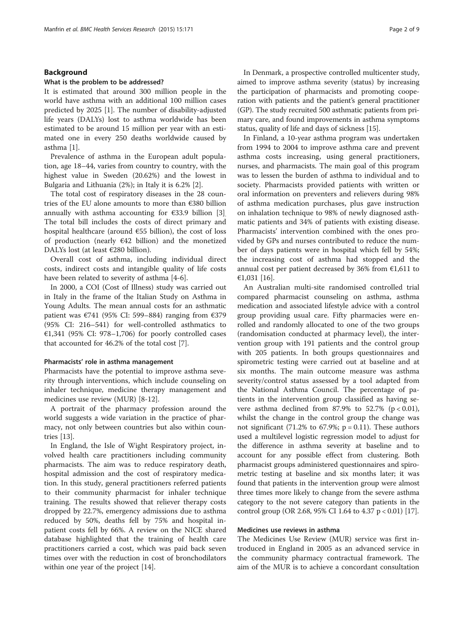#### Background

#### What is the problem to be addressed?

It is estimated that around 300 million people in the world have asthma with an additional 100 million cases predicted by 2025 [\[1\]](#page-8-0). The number of disability-adjusted life years (DALYs) lost to asthma worldwide has been estimated to be around 15 million per year with an estimated one in every 250 deaths worldwide caused by asthma [\[1](#page-8-0)].

Prevalence of asthma in the European adult population, age 18–44, varies from country to country, with the highest value in Sweden (20.62%) and the lowest in Bulgaria and Lithuania (2%); in Italy it is 6.2% [\[2](#page-8-0)].

The total cost of respiratory diseases in the 28 countries of the EU alone amounts to more than €380 billion annually with asthma accounting for  $\epsilon$ 33.9 billion [[3\]](#page-8-0). The total bill includes the costs of direct primary and hospital healthcare (around  $€55$  billion), the cost of loss of production (nearly €42 billion) and the monetized DALYs lost (at least €280 billion).

Overall cost of asthma, including individual direct costs, indirect costs and intangible quality of life costs have been related to severity of asthma [[4-6](#page-8-0)].

In 2000, a COI (Cost of Illness) study was carried out in Italy in the frame of the Italian Study on Asthma in Young Adults. The mean annual costs for an asthmatic patient was €741 (95% CI: 599–884) ranging from €379 (95% CI: 216–541) for well-controlled asthmatics to €1,341 (95% CI: 978–1,706) for poorly controlled cases that accounted for 46.2% of the total cost [\[7](#page-8-0)].

#### Pharmacists' role in asthma management

Pharmacists have the potential to improve asthma severity through interventions, which include counseling on inhaler technique, medicine therapy management and medicines use review (MUR) [\[8](#page-8-0)-[12](#page-8-0)].

A portrait of the pharmacy profession around the world suggests a wide variation in the practice of pharmacy, not only between countries but also within countries [\[13](#page-8-0)].

In England, the Isle of Wight Respiratory project, involved health care practitioners including community pharmacists. The aim was to reduce respiratory death, hospital admission and the cost of respiratory medication. In this study, general practitioners referred patients to their community pharmacist for inhaler technique training. The results showed that reliever therapy costs dropped by 22.7%, emergency admissions due to asthma reduced by 50%, deaths fell by 75% and hospital inpatient costs fell by 66%. A review on the NICE shared database highlighted that the training of health care practitioners carried a cost, which was paid back seven times over with the reduction in cost of bronchodilators within one year of the project [[14](#page-8-0)].

In Denmark, a prospective controlled multicenter study, aimed to improve asthma severity (status) by increasing the participation of pharmacists and promoting cooperation with patients and the patient's general practitioner (GP). The study recruited 500 asthmatic patients from primary care, and found improvements in asthma symptoms status, quality of life and days of sickness [\[15](#page-8-0)].

In Finland, a 10-year asthma program was undertaken from 1994 to 2004 to improve asthma care and prevent asthma costs increasing, using general practitioners, nurses, and pharmacists. The main goal of this program was to lessen the burden of asthma to individual and to society. Pharmacists provided patients with written or oral information on preventers and relievers during 98% of asthma medication purchases, plus gave instruction on inhalation technique to 98% of newly diagnosed asthmatic patients and 34% of patients with existing disease. Pharmacists' intervention combined with the ones provided by GPs and nurses contributed to reduce the number of days patients were in hospital which fell by 54%; the increasing cost of asthma had stopped and the annual cost per patient decreased by 36% from  $£1,611$  to €1,031 [[16](#page-8-0)].

An Australian multi-site randomised controlled trial compared pharmacist counseling on asthma, asthma medication and associated lifestyle advice with a control group providing usual care. Fifty pharmacies were enrolled and randomly allocated to one of the two groups (randomisation conducted at pharmacy level), the intervention group with 191 patients and the control group with 205 patients. In both groups questionnaires and spirometric testing were carried out at baseline and at six months. The main outcome measure was asthma severity/control status assessed by a tool adapted from the National Asthma Council. The percentage of patients in the intervention group classified as having severe asthma declined from 87.9% to 52.7% ( $p < 0.01$ ), whilst the change in the control group the change was not significant (71.2% to 67.9%;  $p = 0.11$ ). These authors used a multilevel logistic regression model to adjust for the difference in asthma severity at baseline and to account for any possible effect from clustering. Both pharmacist groups administered questionnaires and spirometric testing at baseline and six months later; it was found that patients in the intervention group were almost three times more likely to change from the severe asthma category to the not severe category than patients in the control group (OR 2.68, 95% CI 1.64 to 4.37 p < 0.01) [\[17\]](#page-8-0).

#### Medicines use reviews in asthma

The Medicines Use Review (MUR) service was first introduced in England in 2005 as an advanced service in the community pharmacy contractual framework. The aim of the MUR is to achieve a concordant consultation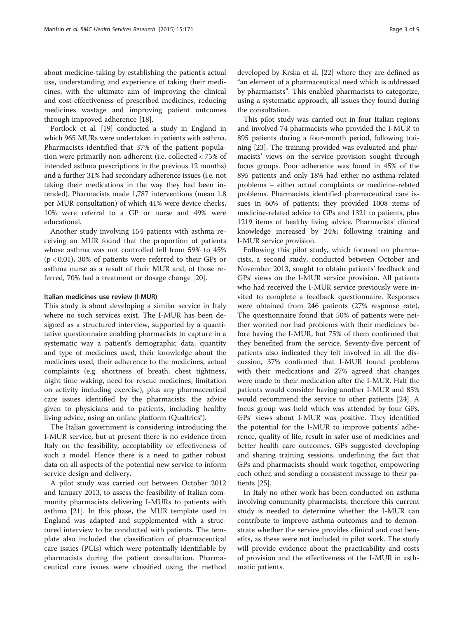about medicine-taking by establishing the patient's actual use, understanding and experience of taking their medicines, with the ultimate aim of improving the clinical and cost-effectiveness of prescribed medicines, reducing medicines wastage and improving patient outcomes through improved adherence [[18\]](#page-8-0).

Portlock et al. [\[19\]](#page-8-0) conducted a study in England in which 965 MURs were undertaken in patients with asthma. Pharmacists identified that 37% of the patient population were primarily non-adherent (i.e. collected < 75% of intended asthma prescriptions in the previous 12 months) and a further 31% had secondary adherence issues (i.e. not taking their medications in the way they had been intended). Pharmacists made 1,787 interventions (mean 1.8 per MUR consultation) of which 41% were device checks, 10% were referral to a GP or nurse and 49% were educational.

Another study involving 154 patients with asthma receiving an MUR found that the proportion of patients whose asthma was not controlled fell from 59% to 45%  $(p < 0.01)$ , 30% of patients were referred to their GPs or asthma nurse as a result of their MUR and, of those referred, 70% had a treatment or dosage change [[20\]](#page-8-0).

#### Italian medicines use review (I-MUR)

This study is about developing a similar service in Italy where no such services exist. The I-MUR has been designed as a structured interview, supported by a quantitative questionnaire enabling pharmacists to capture in a systematic way a patient's demographic data, quantity and type of medicines used, their knowledge about the medicines used, their adherence to the medicines, actual complaints (e.g. shortness of breath, chest tightness, night time waking, need for rescue medicines, limitation on activity including exercise), plus any pharmaceutical care issues identified by the pharmacists, the advice given to physicians and to patients, including healthy living advice, using an online platform (Qualtrics®).

The Italian government is considering introducing the I-MUR service, but at present there is no evidence from Italy on the feasibility, acceptability or effectiveness of such a model. Hence there is a need to gather robust data on all aspects of the potential new service to inform service design and delivery.

A pilot study was carried out between October 2012 and January 2013, to assess the feasibility of Italian community pharmacists delivering I-MURs to patients with asthma [[21](#page-8-0)]. In this phase, the MUR template used in England was adapted and supplemented with a structured interview to be conducted with patients. The template also included the classification of pharmaceutical care issues (PCIs) which were potentially identifiable by pharmacists during the patient consultation. Pharmaceutical care issues were classified using the method developed by Krska et al. [[22](#page-8-0)] where they are defined as "an element of a pharmaceutical need which is addressed by pharmacists". This enabled pharmacists to categorize, using a systematic approach, all issues they found during the consultation.

This pilot study was carried out in four Italian regions and involved 74 pharmacists who provided the I-MUR to 895 patients during a four-month period, following training [\[23\]](#page-8-0). The training provided was evaluated and pharmacists' views on the service provision sought through focus groups. Poor adherence was found in 45% of the 895 patients and only 18% had either no asthma-related problems – either actual complaints or medicine-related problems. Pharmacists identified pharmaceutical care issues in 60% of patients; they provided 1008 items of medicine-related advice to GPs and 1321 to patients, plus 1219 items of healthy living advice. Pharmacists' clinical knowledge increased by 24%; following training and I-MUR service provision.

Following this pilot study, which focused on pharmacists, a second study, conducted between October and November 2013, sought to obtain patients' feedback and GPs' views on the I-MUR service provision. All patients who had received the I-MUR service previously were invited to complete a feedback questionnaire. Responses were obtained from 246 patients (27% response rate). The questionnaire found that 50% of patients were neither worried nor had problems with their medicines before having the I-MUR, but 75% of them confirmed that they benefited from the service. Seventy-five percent of patients also indicated they felt involved in all the discussion, 37% confirmed that I-MUR found problems with their medications and 27% agreed that changes were made to their medication after the I-MUR. Half the patients would consider having another I-MUR and 85% would recommend the service to other patients [[24](#page-8-0)]. A focus group was held which was attended by four GPs. GPs' views about I-MUR was positive. They identified the potential for the I-MUR to improve patients' adherence, quality of life, result in safer use of medicines and better health care outcomes. GPs suggested developing and sharing training sessions, underlining the fact that GPs and pharmacists should work together, empowering each other, and sending a consistent message to their patients [\[25](#page-8-0)].

In Italy no other work has been conducted on asthma involving community pharmacists, therefore this current study is needed to determine whether the I-MUR can contribute to improve asthma outcomes and to demonstrate whether the service provides clinical and cost benefits, as these were not included in pilot work. The study will provide evidence about the practicability and costs of provision and the effectiveness of the I-MUR in asthmatic patients.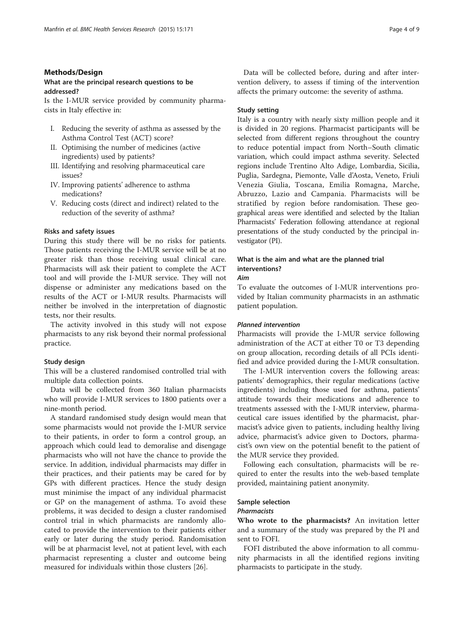#### Methods/Design

#### What are the principal research questions to be addressed?

Is the I-MUR service provided by community pharmacists in Italy effective in:

- I. Reducing the severity of asthma as assessed by the Asthma Control Test (ACT) score?
- II. Optimising the number of medicines (active ingredients) used by patients?
- III. Identifying and resolving pharmaceutical care issues?
- IV. Improving patients' adherence to asthma medications?
- V. Reducing costs (direct and indirect) related to the reduction of the severity of asthma?

#### Risks and safety issues

During this study there will be no risks for patients. Those patients receiving the I-MUR service will be at no greater risk than those receiving usual clinical care. Pharmacists will ask their patient to complete the ACT tool and will provide the I-MUR service. They will not dispense or administer any medications based on the results of the ACT or I-MUR results. Pharmacists will neither be involved in the interpretation of diagnostic tests, nor their results.

The activity involved in this study will not expose pharmacists to any risk beyond their normal professional practice.

#### Study design

This will be a clustered randomised controlled trial with multiple data collection points.

Data will be collected from 360 Italian pharmacists who will provide I-MUR services to 1800 patients over a nine-month period.

A standard randomised study design would mean that some pharmacists would not provide the I-MUR service to their patients, in order to form a control group, an approach which could lead to demoralise and disengage pharmacists who will not have the chance to provide the service. In addition, individual pharmacists may differ in their practices, and their patients may be cared for by GPs with different practices. Hence the study design must minimise the impact of any individual pharmacist or GP on the management of asthma. To avoid these problems, it was decided to design a cluster randomised control trial in which pharmacists are randomly allocated to provide the intervention to their patients either early or later during the study period. Randomisation will be at pharmacist level, not at patient level, with each pharmacist representing a cluster and outcome being measured for individuals within those clusters [[26](#page-8-0)].

Data will be collected before, during and after intervention delivery, to assess if timing of the intervention affects the primary outcome: the severity of asthma.

#### Study setting

Italy is a country with nearly sixty million people and it is divided in 20 regions. Pharmacist participants will be selected from different regions throughout the country to reduce potential impact from North–South climatic variation, which could impact asthma severity. Selected regions include Trentino Alto Adige, Lombardia, Sicilia, Puglia, Sardegna, Piemonte, Valle d'Aosta, Veneto, Friuli Venezia Giulia, Toscana, Emilia Romagna, Marche, Abruzzo, Lazio and Campania. Pharmacists will be stratified by region before randomisation. These geographical areas were identified and selected by the Italian Pharmacists' Federation following attendance at regional presentations of the study conducted by the principal investigator (PI).

## What is the aim and what are the planned trial interventions?

#### Aim

To evaluate the outcomes of I-MUR interventions provided by Italian community pharmacists in an asthmatic patient population.

#### Planned intervention

Pharmacists will provide the I-MUR service following administration of the ACT at either T0 or T3 depending on group allocation, recording details of all PCIs identified and advice provided during the I-MUR consultation.

The I-MUR intervention covers the following areas: patients' demographics, their regular medications (active ingredients) including those used for asthma, patients' attitude towards their medications and adherence to treatments assessed with the I-MUR interview, pharmaceutical care issues identified by the pharmacist, pharmacist's advice given to patients, including healthy living advice, pharmacist's advice given to Doctors, pharmacist's own view on the potential benefit to the patient of the MUR service they provided.

Following each consultation, pharmacists will be required to enter the results into the web-based template provided, maintaining patient anonymity.

#### Sample selection **Pharmacists**

Who wrote to the pharmacists? An invitation letter and a summary of the study was prepared by the PI and sent to FOFI.

FOFI distributed the above information to all community pharmacists in all the identified regions inviting pharmacists to participate in the study.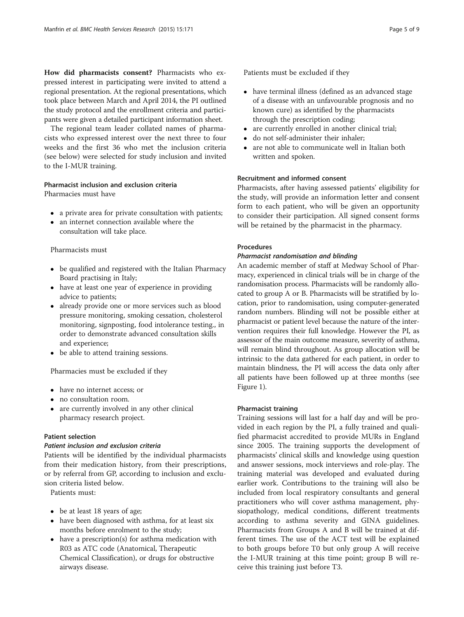How did pharmacists consent? Pharmacists who expressed interest in participating were invited to attend a regional presentation. At the regional presentations, which took place between March and April 2014, the PI outlined the study protocol and the enrollment criteria and participants were given a detailed participant information sheet.

The regional team leader collated names of pharmacists who expressed interest over the next three to four weeks and the first 36 who met the inclusion criteria (see below) were selected for study inclusion and invited to the I-MUR training.

#### Pharmacist inclusion and exclusion criteria

Pharmacies must have

- a private area for private consultation with patients;
- an internet connection available where the consultation will take place.

#### Pharmacists must

- be qualified and registered with the Italian Pharmacy Board practising in Italy;
- have at least one year of experience in providing advice to patients;
- already provide one or more services such as blood pressure monitoring, smoking cessation, cholesterol monitoring, signposting, food intolerance testing., in order to demonstrate advanced consultation skills and experience;
- be able to attend training sessions.

Pharmacies must be excluded if they

- have no internet access; or
- no consultation room.
- are currently involved in any other clinical pharmacy research project.

#### Patient selection

#### Patient inclusion and exclusion criteria

Patients will be identified by the individual pharmacists from their medication history, from their prescriptions, or by referral from GP, according to inclusion and exclusion criteria listed below.

Patients must:

- be at least 18 years of age;
- have been diagnosed with asthma, for at least six months before enrolment to the study;
- have a prescription(s) for asthma medication with R03 as ATC code (Anatomical, Therapeutic Chemical Classification), or drugs for obstructive airways disease.

Patients must be excluded if they

- have terminal illness (defined as an advanced stage of a disease with an unfavourable prognosis and no known cure) as identified by the pharmacists through the prescription coding;
- are currently enrolled in another clinical trial;
- do not self-administer their inhaler;
- are not able to communicate well in Italian both written and spoken.

#### Recruitment and informed consent

Pharmacists, after having assessed patients' eligibility for the study, will provide an information letter and consent form to each patient, who will be given an opportunity to consider their participation. All signed consent forms will be retained by the pharmacist in the pharmacy.

#### Procedures

#### Pharmacist randomisation and blinding

An academic member of staff at Medway School of Pharmacy, experienced in clinical trials will be in charge of the randomisation process. Pharmacists will be randomly allocated to group A or B. Pharmacists will be stratified by location, prior to randomisation, using computer-generated random numbers. Blinding will not be possible either at pharmacist or patient level because the nature of the intervention requires their full knowledge. However the PI, as assessor of the main outcome measure, severity of asthma, will remain blind throughout. As group allocation will be intrinsic to the data gathered for each patient, in order to maintain blindness, the PI will access the data only after all patients have been followed up at three months (see Figure 1).

#### Pharmacist training

Training sessions will last for a half day and will be provided in each region by the PI, a fully trained and qualified pharmacist accredited to provide MURs in England since 2005. The training supports the development of pharmacists' clinical skills and knowledge using question and answer sessions, mock interviews and role-play. The training material was developed and evaluated during earlier work. Contributions to the training will also be included from local respiratory consultants and general practitioners who will cover asthma management, physiopathology, medical conditions, different treatments according to asthma severity and GINA guidelines. Pharmacists from Groups A and B will be trained at different times. The use of the ACT test will be explained to both groups before T0 but only group A will receive the I-MUR training at this time point; group B will receive this training just before T3.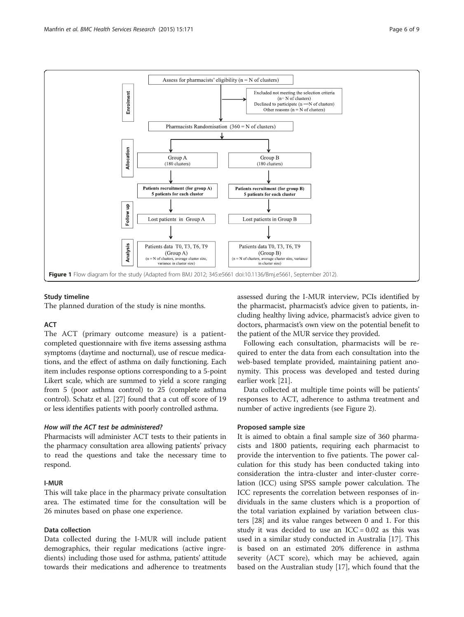<span id="page-6-0"></span>

#### Study timeline

The planned duration of the study is nine months.

#### **ACT**

The ACT (primary outcome measure) is a patientcompleted questionnaire with five items assessing asthma symptoms (daytime and nocturnal), use of rescue medications, and the effect of asthma on daily functioning. Each item includes response options corresponding to a 5-point Likert scale, which are summed to yield a score ranging from 5 (poor asthma control) to 25 (complete asthma control). Schatz et al. [\[27\]](#page-8-0) found that a cut off score of 19 or less identifies patients with poorly controlled asthma.

#### How will the ACT test be administered?

Pharmacists will administer ACT tests to their patients in the pharmacy consultation area allowing patients' privacy to read the questions and take the necessary time to respond.

#### I-MUR

This will take place in the pharmacy private consultation area. The estimated time for the consultation will be 26 minutes based on phase one experience.

#### Data collection

Data collected during the I-MUR will include patient demographics, their regular medications (active ingredients) including those used for asthma, patients' attitude towards their medications and adherence to treatments assessed during the I-MUR interview, PCIs identified by the pharmacist, pharmacist's advice given to patients, including healthy living advice, pharmacist's advice given to doctors, pharmacist's own view on the potential benefit to the patient of the MUR service they provided.

Following each consultation, pharmacists will be required to enter the data from each consultation into the web-based template provided, maintaining patient anonymity. This process was developed and tested during earlier work [[21\]](#page-8-0).

Data collected at multiple time points will be patients' responses to ACT, adherence to asthma treatment and number of active ingredients (see Figure 2).

#### Proposed sample size

It is aimed to obtain a final sample size of 360 pharmacists and 1800 patients, requiring each pharmacist to provide the intervention to five patients. The power calculation for this study has been conducted taking into consideration the intra-cluster and inter-cluster correlation (ICC) using SPSS sample power calculation. The ICC represents the correlation between responses of individuals in the same clusters which is a proportion of the total variation explained by variation between clusters [[28](#page-8-0)] and its value ranges between 0 and 1. For this study it was decided to use an  $ICC = 0.02$  as this was used in a similar study conducted in Australia [\[17\]](#page-8-0). This is based on an estimated 20% difference in asthma severity (ACT score), which may be achieved, again based on the Australian study [[17\]](#page-8-0), which found that the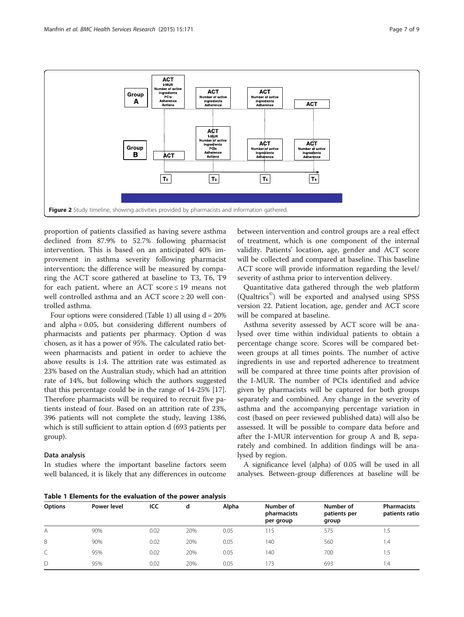



proportion of patients classified as having severe asthma declined from 87.9% to 52.7% following pharmacist intervention. This is based on an anticipated 40% improvement in asthma severity following pharmacist intervention; the difference will be measured by comparing the ACT score gathered at baseline to T3, T6, T9 for each patient, where an ACT score  $\leq 19$  means not well controlled asthma and an ACT score ≥ 20 well controlled asthma.

Four options were considered (Table [1](#page-6-0)) all using  $d = 20%$ and alpha = 0.05, but considering different numbers of pharmacists and patients per pharmacy. Option d was chosen, as it has a power of 95%. The calculated ratio between pharmacists and patient in order to achieve the above results is 1:4. The attrition rate was estimated as 23% based on the Australian study, which had an attrition rate of 14%, but following which the authors suggested that this percentage could be in the range of 14-25% [[17](#page-8-0)]. Therefore pharmacists will be required to recruit five patients instead of four. Based on an attrition rate of 23%, 396 patients will not complete the study, leaving 1386, which is still sufficient to attain option d (693 patients per group).

#### Data analysis

In studies where the important baseline factors seem well balanced, it is likely that any differences in outcome between intervention and control groups are a real effect of treatment, which is one component of the internal validity. Patients' location, age, gender and ACT score will be collected and compared at baseline. This baseline ACT score will provide information regarding the level/ severity of asthma prior to intervention delivery.

Quantitative data gathered through the web platform (Qualtrics© ) will be exported and analysed using SPSS version 22. Patient location, age, gender and ACT score will be compared at baseline.

Asthma severity assessed by ACT score will be analysed over time within individual patients to obtain a percentage change score. Scores will be compared between groups at all times points. The number of active ingredients in use and reported adherence to treatment will be compared at three time points after provision of the I-MUR. The number of PCIs identified and advice given by pharmacists will be captured for both groups separately and combined. Any change in the severity of asthma and the accompanying percentage variation in cost (based on peer reviewed published data) will also be assessed. It will be possible to compare data before and after the I-MUR intervention for group A and B, separately and combined. In addition findings will be analysed by region.

A significance level (alpha) of 0.05 will be used in all analyses. Between-group differences at baseline will be

Table 1 Elements for the evaluation of the power analysis

| THE PRINCIPLE IS THE COMMONDITION OF THE POWER MINISTRY |             |      |     |              |                                       |                                    |                                      |
|---------------------------------------------------------|-------------|------|-----|--------------|---------------------------------------|------------------------------------|--------------------------------------|
| <b>Options</b>                                          | Power level | ICC  | d   | <b>Alpha</b> | Number of<br>pharmacists<br>per group | Number of<br>patients per<br>group | <b>Pharmacists</b><br>patients ratio |
| A                                                       | 90%         | 0.02 | 20% | 0.05         | 115                                   | 575                                | 1:5                                  |
| B                                                       | 90%         | 0.02 | 20% | 0.05         | 140                                   | 560                                | 1:4                                  |
|                                                         | 95%         | 0.02 | 20% | 0.05         | 140                                   | 700                                | 1:5                                  |
| D                                                       | 95%         | 0.02 | 20% | 0.05         | 173                                   | 693                                | 1:4                                  |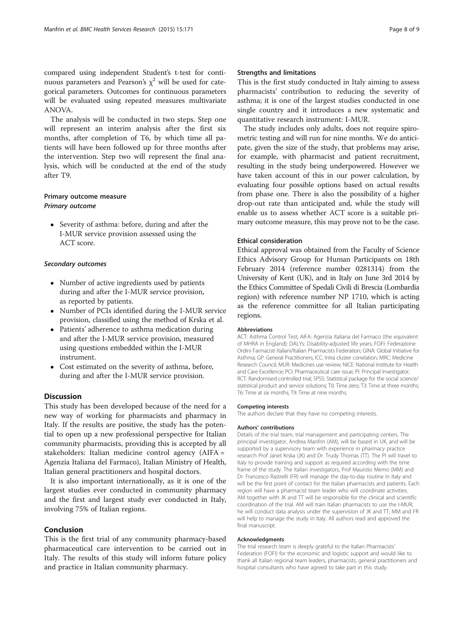<span id="page-8-0"></span>compared using independent Student's t-test for continuous parameters and Pearson's  $\chi^2$  will be used for categorical parameters. Outcomes for continuous parameters will be evaluated using repeated measures multivariate ANOVA.

The analysis will be conducted in two steps. Step one will represent an interim analysis after the first six months, after completion of T6, by which time all patients will have been followed up for three months after the intervention. Step two will represent the final analysis, which will be conducted at the end of the study after T9.

#### Primary outcome measure Primary outcome

 Severity of asthma: before, during and after the I-MUR service provision assessed using the ACT score.

#### Secondary outcomes

- Number of active ingredients used by patients during and after the I-MUR service provision, as reported by patients.
- Number of PCIs identified during the I-MUR service provision, classified using the method of Krska et al.
- Patients' adherence to asthma medication during and after the I-MUR service provision, measured using questions embedded within the I-MUR instrument.
- Cost estimated on the severity of asthma, before, during and after the I-MUR service provision.

#### **Discussion**

This study has been developed because of the need for a new way of working for pharmacists and pharmacy in Italy. If the results are positive, the study has the potential to open up a new professional perspective for Italian community pharmacists, providing this is accepted by all stakeholders: Italian medicine control agency (AIFA = Agenzia Italiana del Farmaco), Italian Ministry of Health, Italian general practitioners and hospital doctors.

It is also important internationally, as it is one of the largest studies ever conducted in community pharmacy and the first and largest study ever conducted in Italy, involving 75% of Italian regions.

#### Conclusion

This is the first trial of any community pharmacy-based pharmaceutical care intervention to be carried out in Italy. The results of this study will inform future policy and practice in Italian community pharmacy.

#### Strengths and limitations

This is the first study conducted in Italy aiming to assess pharmacists' contribution to reducing the severity of asthma; it is one of the largest studies conducted in one single country and it introduces a new systematic and quantitative research instrument: I-MUR.

The study includes only adults, does not require spirometric testing and will run for nine months. We do anticipate, given the size of the study, that problems may arise, for example, with pharmacist and patient recruitment, resulting in the study being underpowered. However we have taken account of this in our power calculation, by evaluating four possible options based on actual results from phase one. There is also the possibility of a higher drop-out rate than anticipated and, while the study will enable us to assess whether ACT score is a suitable primary outcome measure, this may prove not to be the case.

#### Ethical consideration

Ethical approval was obtained from the Faculty of Science Ethics Advisory Group for Human Participants on 18th February 2014 (reference number 0281314) from the University of Kent (UK), and in Italy on June 3rd 2014 by the Ethics Committee of Spedali Civili di Brescia (Lombardia region) with reference number NP 1710, which is acting as the reference committee for all Italian participating regions.

#### Abbreviations

ACT: Asthma Control Test; AIFA: Agenzia Italiana del Farmaco (the equivalent of MHRA in England); DALYs: Disability-adjusted life years; FOFI: Federazione Ordini Farmacisti Italiani/Italian Pharmacists Federation; GINA: Global Initiative for Asthma; GP: General Practitioners; ICC: Intra cluster correlation; MRC: Medicine Research Council; MUR: Medicines use review; NICE: National Institute for Health and Care Excellence; PCI: Pharmaceutical care issue; PI: Principal Investigator; RCT: Randomised controlled trial; SPSS: Statistical package for the social science/ statistical product and service solutions; T0: Time zero; T3: Time at three months; T6: Time at six months; T9: Time at nine months.

#### Competing interests

The authors declare that they have no competing interests.

#### Authors' contributions

Details of the trial team, trial management and participating centers. The principal investigator, Andrea Manfrin (AM), will be based in UK, and will be supported by a supervisory team with experience in pharmacy practice research Prof Janet Krska (JK) and Dr. Trudy Thomas (TT). The PI will travel to Italy to provide training and support as required according with the time frame of the study. The Italian investigators, Prof Maurizio Memo (MM) and Dr. Francesco Rastrelli (FR) will manage the day-to-day routine in Italy and will be the first point of contact for the Italian pharmacists and patients. Each region will have a pharmacist team leader who will coordinate activities. AM together with JK and TT will be responsible for the clinical and scientific coordination of the trial. AM will train Italian pharmacists to use the I-MUR; he will conduct data analysis under the supervision of JK and TT; MM and FR will help to manage the study in Italy. All authors read and approved the final manuscript.

#### Acknowledgments

The trial research team is deeply grateful to the Italian Pharmacists' Federation (FOFI) for the economic and logistic support and would like to thank all Italian regional team leaders, pharmacists, general practitioners and hospital consultants who have agreed to take part in this study.